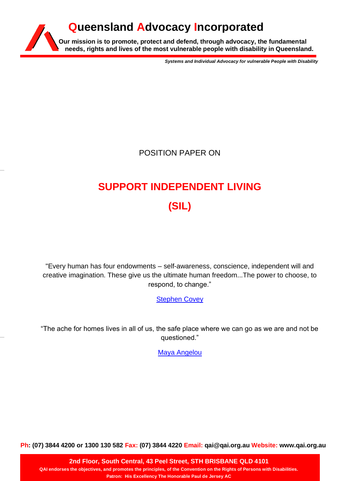## **Our mission is to promote, protect and defend, through advocacy, the fundamental needs, rights and lives of the most vulnerable people with disability in Queensland. Queensland Advocacy Incorporated**

*Systems and Individual Advocacy for vulnerable People with Disability*

POSITION PAPER ON

# **SUPPORT INDEPENDENT LIVING (SIL)**

"Every human has four endowments – self-awareness, conscience, independent will and creative imagination. These give us the ultimate human freedom...The power to choose, to respond, to change."

[Stephen Covey](https://www.brainyquote.com/authors/stephen-covey-quotes)

"The ache for homes lives in all of us, the safe place where we can go as we are and not be questioned."

[Maya Angelou](https://www.brainyquote.com/quotes/maya_angelou_386838)

**Ph: (07) 3844 4200 or 1300 130 582 Fax: (07) 3844 4220 Email: qai@qai.org.au Website: www.qai.org.au**

**2nd Floor, South Central, 43 Peel Street, STH BRISBANE QLD 4101 QAI endorses the objectives, and promotes the principles, of the Convention on the Rights of Persons with Disabilities. Patron: His Excellency The Honorable Paul de Jersey AC**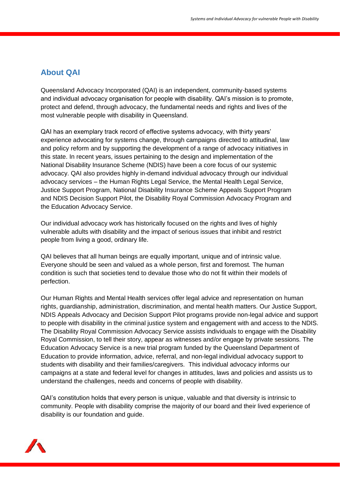### **About QAI**

Queensland Advocacy Incorporated (QAI) is an independent, community-based systems and individual advocacy organisation for people with disability. QAI's mission is to promote, protect and defend, through advocacy, the fundamental needs and rights and lives of the most vulnerable people with disability in Queensland.

QAI has an exemplary track record of effective systems advocacy, with thirty years' experience advocating for systems change, through campaigns directed to attitudinal, law and policy reform and by supporting the development of a range of advocacy initiatives in this state. In recent years, issues pertaining to the design and implementation of the National Disability Insurance Scheme (NDIS) have been a core focus of our systemic advocacy. QAI also provides highly in-demand individual advocacy through our individual advocacy services – the Human Rights Legal Service, the Mental Health Legal Service, Justice Support Program, National Disability Insurance Scheme Appeals Support Program and NDIS Decision Support Pilot, the Disability Royal Commission Advocacy Program and the Education Advocacy Service.

Our individual advocacy work has historically focused on the rights and lives of highly vulnerable adults with disability and the impact of serious issues that inhibit and restrict people from living a good, ordinary life.

QAI believes that all human beings are equally important, unique and of intrinsic value. Everyone should be seen and valued as a whole person, first and foremost. The human condition is such that societies tend to devalue those who do not fit within their models of perfection.

Our Human Rights and Mental Health services offer legal advice and representation on human rights, guardianship, administration, discrimination, and mental health matters. Our Justice Support, NDIS Appeals Advocacy and Decision Support Pilot programs provide non-legal advice and support to people with disability in the criminal justice system and engagement with and access to the NDIS. The Disability Royal Commission Advocacy Service assists individuals to engage with the Disability Royal Commission, to tell their story, appear as witnesses and/or engage by private sessions. The Education Advocacy Service is a new trial program funded by the Queensland Department of Education to provide information, advice, referral, and non-legal individual advocacy support to students with disability and their families/caregivers. This individual advocacy informs our campaigns at a state and federal level for changes in attitudes, laws and policies and assists us to understand the challenges, needs and concerns of people with disability.

QAI's constitution holds that every person is unique, valuable and that diversity is intrinsic to community. People with disability comprise the majority of our board and their lived experience of disability is our foundation and guide.

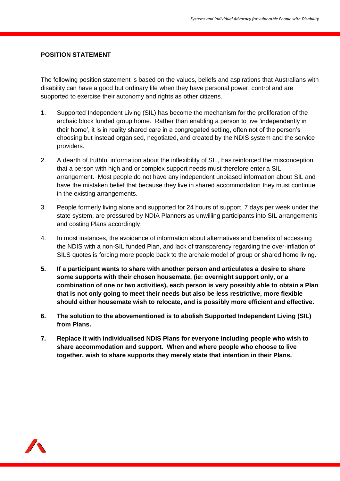#### **POSITION STATEMENT**

The following position statement is based on the values, beliefs and aspirations that Australians with disability can have a good but ordinary life when they have personal power, control and are supported to exercise their autonomy and rights as other citizens.

- 1. Supported Independent Living (SIL) has become the mechanism for the proliferation of the archaic block funded group home. Rather than enabling a person to live 'independently in their home', it is in reality shared care in a congregated setting, often not of the person's choosing but instead organised, negotiated, and created by the NDIS system and the service providers.
- 2. A dearth of truthful information about the inflexibility of SIL, has reinforced the misconception that a person with high and or complex support needs must therefore enter a SIL arrangement. Most people do not have any independent unbiased information about SIL and have the mistaken belief that because they live in shared accommodation they must continue in the existing arrangements.
- 3. People formerly living alone and supported for 24 hours of support, 7 days per week under the state system, are pressured by NDIA Planners as unwilling participants into SIL arrangements and costing Plans accordingly.
- 4. In most instances, the avoidance of information about alternatives and benefits of accessing the NDIS with a non-SIL funded Plan, and lack of transparency regarding the over-inflation of SILS quotes is forcing more people back to the archaic model of group or shared home living.
- **5. If a participant wants to share with another person and articulates a desire to share some supports with their chosen housemate, (ie: overnight support only, or a combination of one or two activities), each person is very possibly able to obtain a Plan that is not only going to meet their needs but also be less restrictive, more flexible should either housemate wish to relocate, and is possibly more efficient and effective.**
- **6. The solution to the abovementioned is to abolish Supported Independent Living (SIL) from Plans.**
- **7. Replace it with individualised NDIS Plans for everyone including people who wish to share accommodation and support. When and where people who choose to live together, wish to share supports they merely state that intention in their Plans.**

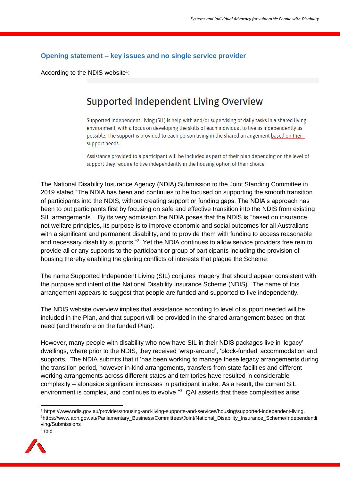#### **Opening statement – key issues and no single service provider**

According to the NDIS website<sup>1</sup>:

## **Supported Independent Living Overview**

Supported Independent Living (SIL) is help with and/or supervising of daily tasks in a shared living environment, with a focus on developing the skills of each individual to live as independently as possible. The support is provided to each person living in the shared arrangement based on their support needs.

Assistance provided to a participant will be included as part of their plan depending on the level of support they require to live independently in the housing option of their choice.

The National Disability Insurance Agency (NDIA) Submission to the Joint Standing Committee in 2019 stated "The NDIA has been and continues to be focused on supporting the smooth transition of participants into the NDIS, without creating support or funding gaps. The NDIA's approach has been to put participants first by focusing on safe and effective transition into the NDIS from existing SIL arrangements." By its very admission the NDIA poses that the NDIS is "based on insurance, not welfare principles, its purpose is to improve economic and social outcomes for all Australians with a significant and permanent disability, and to provide them with funding to access reasonable and necessary disability supports."<sup>2</sup> Yet the NDIA continues to allow service providers free rein to provide all or any supports to the participant or group of participants including the provision of housing thereby enabling the glaring conflicts of interests that plague the Scheme.

The name Supported Independent Living (SIL) conjures imagery that should appear consistent with the purpose and intent of the National Disability Insurance Scheme (NDIS). The name of this arrangement appears to suggest that people are funded and supported to live independently.

The NDIS website overview implies that assistance according to level of support needed will be included in the Plan, and that support will be provided in the shared arrangement based on that need (and therefore on the funded Plan).

However, many people with disability who now have SIL in their NDIS packages live in 'legacy' dwellings, where prior to the NDIS, they received 'wrap-around', 'block-funded' accommodation and supports. The NDIA submits that it 'has been working to manage these legacy arrangements during the transition period, however in-kind arrangements, transfers from state facilities and different working arrangements across different states and territories have resulted in considerable complexity – alongside significant increases in participant intake. As a result, the current SIL environment is complex, and continues to evolve."<sup>3</sup> QAI asserts that these complexities arise

<sup>1</sup> [https://www.ndis.gov.au/providers/housing-and-living-supports-and-services/housing/supported-independent-living.](https://www.ndis.gov.au/providers/housing-and-living-supports-and-services/housing/supported-independent-living) <sup>2</sup>https://www.aph.gov.au/Parliamentary\_Business/Committees/Joint/National\_Disability\_Insurance\_Scheme/Independentli ving/Submissions <sup>3</sup> ibid

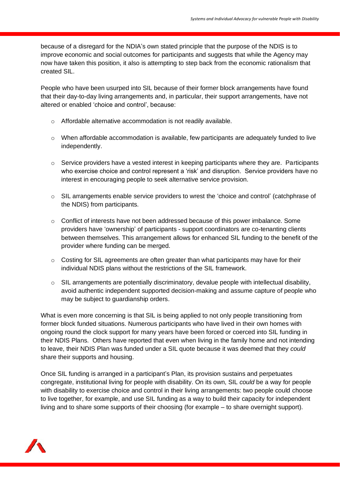because of a disregard for the NDIA's own stated principle that the purpose of the NDIS is to improve economic and social outcomes for participants and suggests that while the Agency may now have taken this position, it also is attempting to step back from the economic rationalism that created SIL.

People who have been usurped into SIL because of their former block arrangements have found that their day-to-day living arrangements and, in particular, their support arrangements, have not altered or enabled 'choice and control', because:

- o Affordable alternative accommodation is not readily available.
- $\circ$  When affordable accommodation is available, few participants are adequately funded to live independently.
- $\circ$  Service providers have a vested interest in keeping participants where they are. Participants who exercise choice and control represent a 'risk' and disruption. Service providers have no interest in encouraging people to seek alternative service provision.
- o SIL arrangements enable service providers to wrest the 'choice and control' (catchphrase of the NDIS) from participants.
- $\circ$  Conflict of interests have not been addressed because of this power imbalance. Some providers have 'ownership' of participants - support coordinators are co-tenanting clients between themselves. This arrangement allows for enhanced SIL funding to the benefit of the provider where funding can be merged.
- $\circ$  Costing for SIL agreements are often greater than what participants may have for their individual NDIS plans without the restrictions of the SIL framework.
- $\circ$  SIL arrangements are potentially discriminatory, devalue people with intellectual disability, avoid authentic independent supported decision-making and assume capture of people who may be subject to guardianship orders.

What is even more concerning is that SIL is being applied to not only people transitioning from former block funded situations. Numerous participants who have lived in their own homes with ongoing round the clock support for many years have been forced or coerced into SIL funding in their NDIS Plans. Others have reported that even when living in the family home and not intending to leave, their NDIS Plan was funded under a SIL quote because it was deemed that they *could* share their supports and housing.

Once SIL funding is arranged in a participant's Plan, its provision sustains and perpetuates congregate, institutional living for people with disability. On its own, SIL *could* be a way for people with disability to exercise choice and control in their living arrangements: two people could choose to live together, for example, and use SIL funding as a way to build their capacity for independent living and to share some supports of their choosing (for example – to share overnight support).

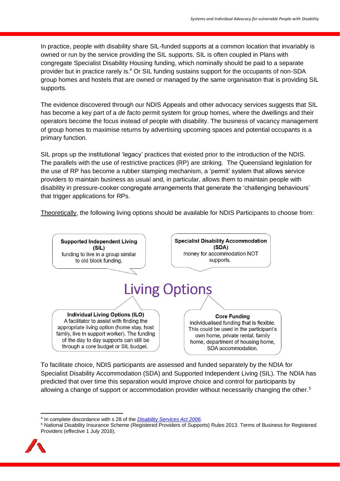In practice, people with disability share SIL-funded supports at a common location that invariably is owned or run by the service providing the SIL supports. SIL is often coupled in Plans with congregate Specialist Disability Housing funding, which nominally should be paid to a separate provider but in practice rarely is.<sup>4</sup> Or SIL funding sustains support for the occupants of non-SDA group homes and hostels that are owned or managed by the same organisation that is providing SIL supports.

The evidence discovered through our NDIS Appeals and other advocacy services suggests that SIL has become a key part of a *de facto* permit system for group homes, where the dwellings and their operators become the focus instead of people with disability. The business of vacancy management of group homes to maximise returns by advertising upcoming spaces and potential occupants is a primary function.

SIL props up the institutional 'legacy' practices that existed prior to the introduction of the NDIS. The parallels with the use of restrictive practices (RP) are striking. The Queensland legislation for the use of RP has become a rubber stamping mechanism, a 'permit' system that allows service providers to maintain business as usual and, in particular, allows them to maintain people with disability in pressure-cooker congregate arrangements that generate the 'challenging behaviours' that trigger applications for RPs.

Theoretically, the following living options should be available for NDIS Participants to choose from:



To facilitate choice, NDIS participants are assessed and funded separately by the NDIA for Specialist Disability Accommodation (SDA) and Supported Independent Living (SIL). The NDIA has predicted that over time this separation would improve choice and control for participants by allowing a change of support or accommodation provider without necessarily changing the other.<sup>5</sup>

<sup>5</sup> National Disability Insurance Scheme (Registered Providers of Supports) Rules 2013. Terms of Business for Registered Providers (effective 1 July 2016).



<sup>4</sup> In complete discordance with s 28 of the *[Disability Services Act 2006.](https://www.legislation.qld.gov.au/view/pdf/2017-06-05/act-2006-012)*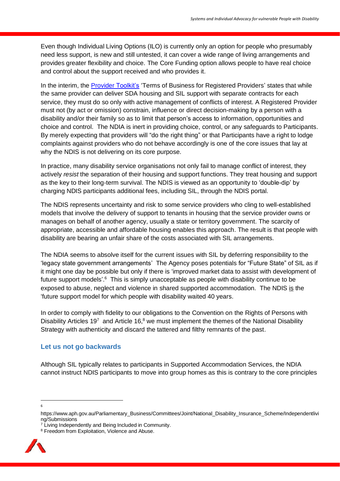Even though Individual Living Options (ILO) is currently only an option for people who presumably need less support, is new and still untested, it can cover a wide range of living arrangements and provides greater flexibility and choice. The Core Funding option allows people to have real choice and control about the support received and who provides it.

In the interim, the [Provider](https://providertoolkit.ndis.gov.au/sites/default/files/ndis_terms_of_business.pdf) Toolkit's 'Terms of Business for Registered Providers' states that while the same provider can deliver SDA housing and SIL support with separate contracts for each service, they must do so only with active management of conflicts of interest. A Registered Provider must not (by act or omission) constrain, influence or direct decision-making by a person with a disability and/or their family so as to limit that person's access to information, opportunities and choice and control. The NDIA is inert in providing choice, control, or any safeguards to Participants. By merely expecting that providers will "do the right thing" or that Participants have a right to lodge complaints against providers who do not behave accordingly is one of the core issues that lay at why the NDIS is not delivering on its core purpose.

In practice, many disability service organisations not only fail to manage conflict of interest, they actively *resist* the separation of their housing and support functions. They treat housing and support as the key to their long-term survival. The NDIS is viewed as an opportunity to 'double-dip' by charging NDIS participants additional fees, including SIL, through the NDIS portal.

The NDIS represents uncertainty and risk to some service providers who cling to well-established models that involve the delivery of support to tenants in housing that the service provider owns or manages on behalf of another agency, usually a state or territory government. The scarcity of appropriate, accessible and affordable housing enables this approach. The result is that people with disability are bearing an unfair share of the costs associated with SIL arrangements.

The NDIA seems to absolve itself for the current issues with SIL by deferring responsibility to the 'legacy state government arrangements' The Agency poses potentials for "Future State" of SIL as if it might one day be possible but only if there is 'improved market data to assist with development of future support models'.<sup>6</sup> This is simply unacceptable as people with disability continue to be exposed to abuse, neglect and violence in shared supported accommodation. The NDIS is the 'future support model for which people with disability waited 40 years.

In order to comply with fidelity to our obligations to the Convention on the Rights of Persons with Disability Articles 19<sup>7</sup> and Article 16,<sup>8</sup> we must implement the themes of the National Disability Strategy with authenticity and discard the tattered and filthy remnants of the past.

#### **Let us not go backwards**

Although SIL typically relates to participants in Supported Accommodation Services, the NDIA cannot instruct NDIS participants to move into group homes as this is contrary to the core principles

6

<sup>8</sup> Freedom from Exploitation, Violence and Abuse.



https://www.aph.gov.au/Parliamentary\_Business/Committees/Joint/National\_Disability\_Insurance\_Scheme/Independentlivi ng/Submissions

 $7$  Living Independently and Being Included in Community.